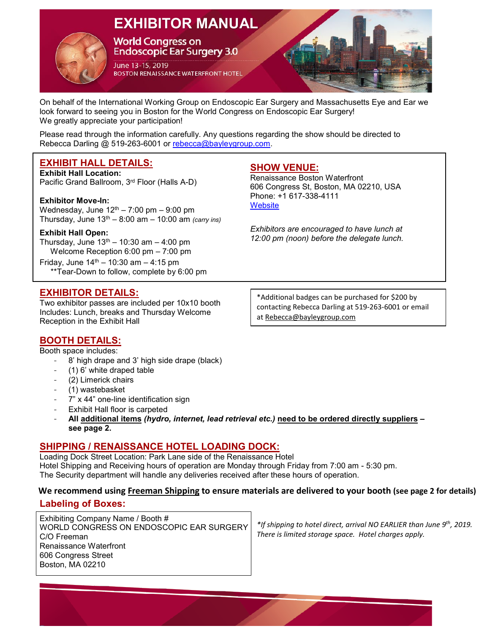# **EXHIBITOR MANUAL**



**World Congress on Endoscopic Ear Surgery 3.0** 

June 13-15, 2019 **BOSTON RENAISSANCE WATERFRONT HOTEL** 

On behalf of the International Working Group on Endoscopic Ear Surgery and Massachusetts Eye and Ear we look forward to seeing you in Boston for the World Congress on Endoscopic Ear Surgery! We greatly appreciate your participation!

Please read through the information carefully. Any questions regarding the show should be directed to Rebecca Darling @ 519-263-6001 or [rebecca@bayleygroup.com.](mailto:rebecca@bayleygroup.com)

## **EXHIBIT HALL DETAILS:**

**Exhibit Hall Location:**  Pacific Grand Ballroom, 3rd Floor (Halls A-D)

#### **Exhibitor Move-In:**

Wednesday, June  $12<sup>th</sup> - 7:00$  pm  $-9:00$  pm Thursday, June 13th – 8:00 am – 10:00 am *(carry ins)*

#### **Exhibit Hall Open:**

Thursday, June  $13<sup>th</sup> - 10:30$  am  $- 4:00$  pm Welcome Reception 6:00 pm – 7:00 pm

Friday, June  $14^{th} - 10:30$  am  $- 4:15$  pm \*\*Tear-Down to follow, complete by 6:00 pm

## **EXHIBITOR DETAILS:**

Two exhibitor passes are included per 10x10 booth Includes: Lunch, breaks and Thursday Welcome Reception in the Exhibit Hall

\*Additional badges can be purchased for \$200 by contacting Rebecca Darling at 519-263-6001 or email a[t Rebecca@bayleygroup.com](mailto:Rebecca@bayleygroup.com)

## **BOOTH DETAILS:**

Booth space includes:

- 8' high drape and 3' high side drape (black)
- (1) 6' white draped table
- (2) Limerick chairs
- (1) wastebasket
- 7" x 44" one-line identification sign
- Exhibit Hall floor is carpeted
- **All additional items** *(hydro, internet, lead retrieval etc.)* **need to be ordered directly suppliers – see page 2.**

## **SHIPPING / RENAISSANCE HOTEL LOADING DOCK:**

Loading Dock Street Location: Park Lane side of the Renaissance Hotel Hotel Shipping and Receiving hours of operation are Monday through Friday from 7:00 am - 5:30 pm. The Security department will handle any deliveries received after these hours of operation.

## **We recommend using Freeman Shipping to ensure materials are delivered to your booth (see page 2 for details)**

## **Labeling of Boxes:**

Exhibiting Company Name / Booth # WORLD CONGRESS ON ENDOSCOPIC EAR SURGERY C/O Freeman Renaissance Waterfront 606 Congress Street Boston, MA 02210

*\*If shipping to hotel direct, arrival NO EARLIER than June 9th, 2019. There is limited storage space. Hotel charges apply.*

# **SHOW VENUE:**

Renaissance Boston Waterfront 606 Congress St, Boston, MA 02210, USA Phone: +1 617-338-4111 **[Website](http://endoearboston.com/venue-travel/)** 

*Exhibitors are encouraged to have lunch at 12:00 pm (noon) before the delegate lunch.*